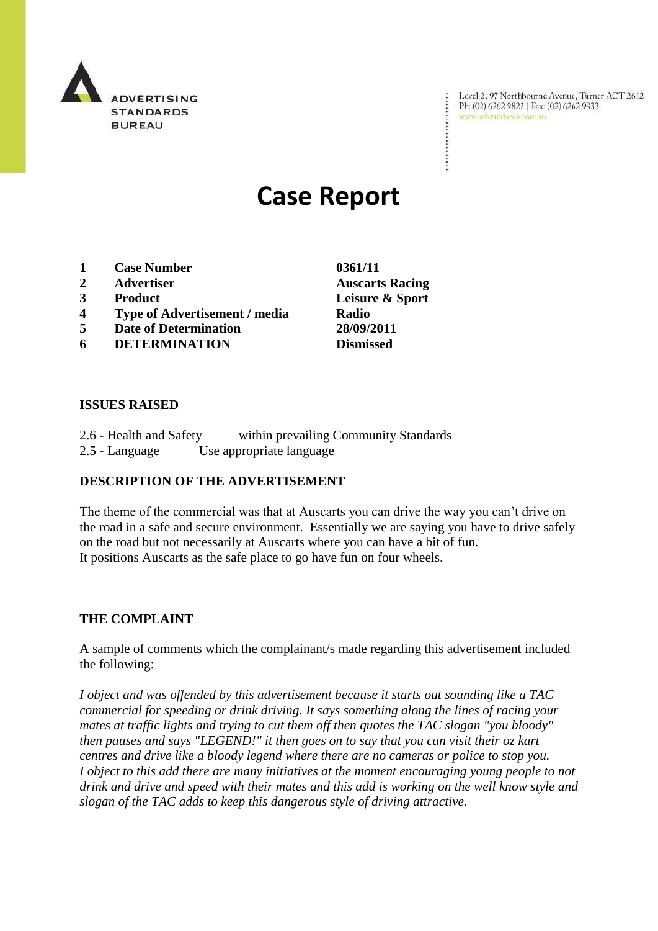

Level 2, 97 Northbourne Avenue, Turner ACT 2612 Ph: (02) 6262 9822 | Fax: (02) 6262 9833 www.adstandards.com.au

 $\ddot{\cdot}$ 

# **Case Report**

- **1 Case Number 0361/11**
- **2 Advertiser Auscarts Racing**
- **3 Product Leisure & Sport**
- **4 Type of Advertisement / media Radio**
- **5 Date of Determination 28/09/2011**
- **6 DETERMINATION Dismissed**

**ISSUES RAISED**

| 2.6 - Health and Safety | within prevailing Community Standards |  |
|-------------------------|---------------------------------------|--|
| 2.5 - Language          | Use appropriate language              |  |

## **DESCRIPTION OF THE ADVERTISEMENT**

The theme of the commercial was that at Auscarts you can drive the way you can't drive on the road in a safe and secure environment. Essentially we are saying you have to drive safely on the road but not necessarily at Auscarts where you can have a bit of fun. It positions Auscarts as the safe place to go have fun on four wheels.

#### **THE COMPLAINT**

A sample of comments which the complainant/s made regarding this advertisement included the following:

*I object and was offended by this advertisement because it starts out sounding like a TAC commercial for speeding or drink driving. It says something along the lines of racing your mates at traffic lights and trying to cut them off then quotes the TAC slogan "you bloody" then pauses and says "LEGEND!" it then goes on to say that you can visit their oz kart centres and drive like a bloody legend where there are no cameras or police to stop you. I object to this add there are many initiatives at the moment encouraging young people to not drink and drive and speed with their mates and this add is working on the well know style and slogan of the TAC adds to keep this dangerous style of driving attractive.*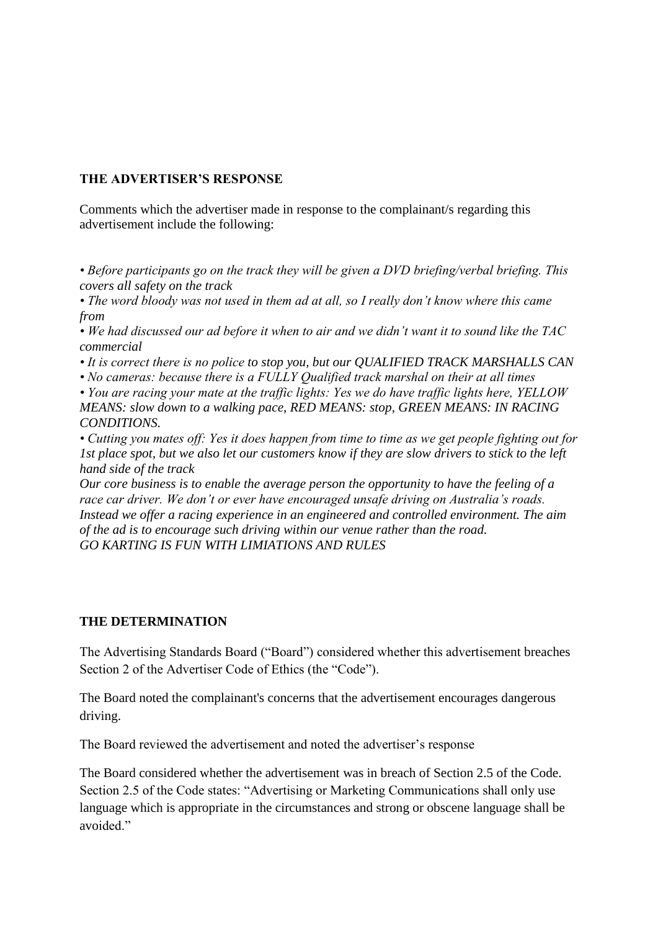## **THE ADVERTISER'S RESPONSE**

Comments which the advertiser made in response to the complainant/s regarding this advertisement include the following:

*• Before participants go on the track they will be given a DVD briefing/verbal briefing. This covers all safety on the track* 

*• The word bloody was not used in them ad at all, so I really don't know where this came from*

*• We had discussed our ad before it when to air and we didn't want it to sound like the TAC commercial* 

*• It is correct there is no police to stop you, but our QUALIFIED TRACK MARSHALLS CAN*

*• No cameras: because there is a FULLY Qualified track marshal on their at all times*

*• You are racing your mate at the traffic lights: Yes we do have traffic lights here, YELLOW MEANS: slow down to a walking pace, RED MEANS: stop, GREEN MEANS: IN RACING CONDITIONS.* 

*• Cutting you mates off: Yes it does happen from time to time as we get people fighting out for 1st place spot, but we also let our customers know if they are slow drivers to stick to the left hand side of the track*

*Our core business is to enable the average person the opportunity to have the feeling of a race car driver. We don't or ever have encouraged unsafe driving on Australia's roads. Instead we offer a racing experience in an engineered and controlled environment. The aim of the ad is to encourage such driving within our venue rather than the road. GO KARTING IS FUN WITH LIMIATIONS AND RULES*

### **THE DETERMINATION**

The Advertising Standards Board ("Board") considered whether this advertisement breaches Section 2 of the Advertiser Code of Ethics (the "Code").

The Board noted the complainant's concerns that the advertisement encourages dangerous driving.

The Board reviewed the advertisement and noted the advertiser's response

The Board considered whether the advertisement was in breach of Section 2.5 of the Code. Section 2.5 of the Code states: "Advertising or Marketing Communications shall only use language which is appropriate in the circumstances and strong or obscene language shall be avoided."